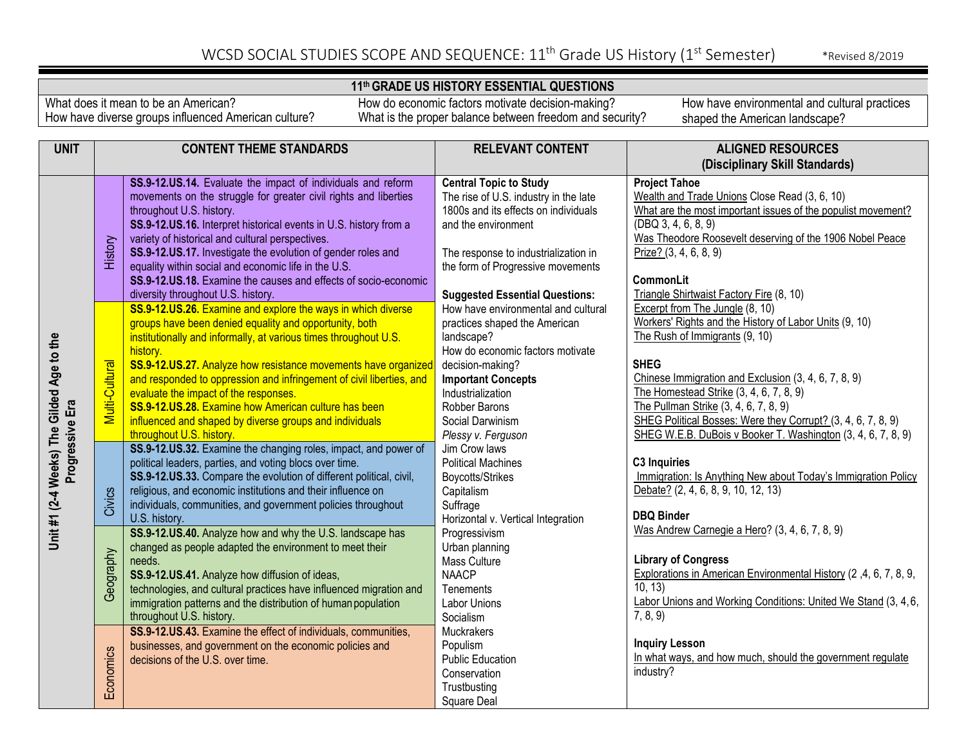### **11th GRADE US HISTORY ESSENTIAL QUESTIONS**

What does it mean to be an American? How have diverse groups influenced American culture?

How do economic factors motivate decision-making? What is the proper balance between freedom and security?

| <b>UNIT</b>                                                  | <b>CONTENT THEME STANDARDS</b>                     |                                                                                                                                                                                                                                                                                                                                                                                                                                                                                                                                                                                                                                                                                                                                                                                                                                                                                                                                                                                                                                                                                                                                                                                                                                                                                                                                                                                                                                                             | <b>RELEVANT CONTENT</b>                                                                                                                                                                                                                                                                                                                                                                                                                                                                                                                                                                                                            | <b>ALIGNED RESOURCES</b>                                                                                                                                                                                                                                                                                                                                                                                                                                                                                                                                                                                                                                                                                                                                                                                                                                                                                                                                               |  |
|--------------------------------------------------------------|----------------------------------------------------|-------------------------------------------------------------------------------------------------------------------------------------------------------------------------------------------------------------------------------------------------------------------------------------------------------------------------------------------------------------------------------------------------------------------------------------------------------------------------------------------------------------------------------------------------------------------------------------------------------------------------------------------------------------------------------------------------------------------------------------------------------------------------------------------------------------------------------------------------------------------------------------------------------------------------------------------------------------------------------------------------------------------------------------------------------------------------------------------------------------------------------------------------------------------------------------------------------------------------------------------------------------------------------------------------------------------------------------------------------------------------------------------------------------------------------------------------------------|------------------------------------------------------------------------------------------------------------------------------------------------------------------------------------------------------------------------------------------------------------------------------------------------------------------------------------------------------------------------------------------------------------------------------------------------------------------------------------------------------------------------------------------------------------------------------------------------------------------------------------|------------------------------------------------------------------------------------------------------------------------------------------------------------------------------------------------------------------------------------------------------------------------------------------------------------------------------------------------------------------------------------------------------------------------------------------------------------------------------------------------------------------------------------------------------------------------------------------------------------------------------------------------------------------------------------------------------------------------------------------------------------------------------------------------------------------------------------------------------------------------------------------------------------------------------------------------------------------------|--|
|                                                              |                                                    |                                                                                                                                                                                                                                                                                                                                                                                                                                                                                                                                                                                                                                                                                                                                                                                                                                                                                                                                                                                                                                                                                                                                                                                                                                                                                                                                                                                                                                                             |                                                                                                                                                                                                                                                                                                                                                                                                                                                                                                                                                                                                                                    | (Disciplinary Skill Standards)                                                                                                                                                                                                                                                                                                                                                                                                                                                                                                                                                                                                                                                                                                                                                                                                                                                                                                                                         |  |
|                                                              | History                                            | SS.9-12.US.14. Evaluate the impact of individuals and reform<br>movements on the struggle for greater civil rights and liberties<br>throughout U.S. history.<br>SS.9-12.US.16. Interpret historical events in U.S. history from a<br>variety of historical and cultural perspectives.<br>SS.9-12.US.17. Investigate the evolution of gender roles and<br>equality within social and economic life in the U.S.<br>SS.9-12.US.18. Examine the causes and effects of socio-economic                                                                                                                                                                                                                                                                                                                                                                                                                                                                                                                                                                                                                                                                                                                                                                                                                                                                                                                                                                            | <b>Central Topic to Study</b><br>The rise of U.S. industry in the late<br>1800s and its effects on individuals<br>and the environment<br>The response to industrialization in<br>the form of Progressive movements                                                                                                                                                                                                                                                                                                                                                                                                                 | <b>Project Tahoe</b><br>Wealth and Trade Unions Close Read (3, 6, 10)<br>What are the most important issues of the populist movement?<br>(DBQ 3, 4, 6, 8, 9)<br>Was Theodore Roosevelt deserving of the 1906 Nobel Peace<br>Prize? (3, 4, 6, 8, 9)<br><b>CommonLit</b>                                                                                                                                                                                                                                                                                                                                                                                                                                                                                                                                                                                                                                                                                                 |  |
| Unit #1 (2-4 Weeks) The Gilded Age to the<br>Progressive Era | Multi-Cultural<br>Civics<br>Geography<br>Economics | diversity throughout U.S. history.<br>SS.9-12.US.26. Examine and explore the ways in which diverse<br>groups have been denied equality and opportunity, both<br>institutionally and informally, at various times throughout U.S.<br>history.<br>SS.9-12.US.27. Analyze how resistance movements have organized<br>and responded to oppression and infringement of civil liberties, and<br>evaluate the impact of the responses.<br>SS.9-12.US.28. Examine how American culture has been<br>influenced and shaped by diverse groups and individuals<br>throughout U.S. history.<br>SS.9-12.US.32. Examine the changing roles, impact, and power of<br>political leaders, parties, and voting blocs over time.<br>SS.9-12.US.33. Compare the evolution of different political, civil,<br>religious, and economic institutions and their influence on<br>individuals, communities, and government policies throughout<br>U.S. history.<br>SS.9-12.US.40. Analyze how and why the U.S. landscape has<br>changed as people adapted the environment to meet their<br>needs.<br>SS.9-12.US.41. Analyze how diffusion of ideas,<br>technologies, and cultural practices have influenced migration and<br>immigration patterns and the distribution of human population<br>throughout U.S. history.<br>SS.9-12.US.43. Examine the effect of individuals, communities,<br>businesses, and government on the economic policies and<br>decisions of the U.S. over time. | <b>Suggested Essential Questions:</b><br>How have environmental and cultural<br>practices shaped the American<br>landscape?<br>How do economic factors motivate<br>decision-making?<br><b>Important Concepts</b><br>Industrialization<br>Robber Barons<br>Social Darwinism<br>Plessy v. Ferguson<br>Jim Crow laws<br><b>Political Machines</b><br>Boycotts/Strikes<br>Capitalism<br>Suffrage<br>Horizontal v. Vertical Integration<br>Progressivism<br>Urban planning<br>Mass Culture<br><b>NAACP</b><br><b>Tenements</b><br>Labor Unions<br>Socialism<br><b>Muckrakers</b><br>Populism<br><b>Public Education</b><br>Conservation | Triangle Shirtwaist Factory Fire (8, 10)<br>Excerpt from The Jungle (8, 10)<br>Workers' Rights and the History of Labor Units (9, 10)<br>The Rush of Immigrants (9, 10)<br><b>SHEG</b><br>Chinese Immigration and Exclusion (3, 4, 6, 7, 8, 9)<br>The Homestead Strike (3, 4, 6, 7, 8, 9)<br>The Pullman Strike (3, 4, 6, 7, 8, 9)<br>SHEG Political Bosses: Were they Corrupt? (3, 4, 6, 7, 8, 9)<br>SHEG W.E.B. DuBois v Booker T. Washington (3, 4, 6, 7, 8, 9)<br><b>C3 Inquiries</b><br>Immigration: Is Anything New about Today's Immigration Policy<br>Debate? (2, 4, 6, 8, 9, 10, 12, 13)<br><b>DBQ Binder</b><br>Was Andrew Carnegie a Hero? (3, 4, 6, 7, 8, 9)<br><b>Library of Congress</b><br>Explorations in American Environmental History (2,4, 6, 7, 8, 9,<br>10, 13<br>Labor Unions and Working Conditions: United We Stand (3, 4, 6,<br>7, 8, 9)<br><b>Inquiry Lesson</b><br>In what ways, and how much, should the government regulate<br>industry? |  |
|                                                              |                                                    |                                                                                                                                                                                                                                                                                                                                                                                                                                                                                                                                                                                                                                                                                                                                                                                                                                                                                                                                                                                                                                                                                                                                                                                                                                                                                                                                                                                                                                                             | Trustbusting<br>Square Deal                                                                                                                                                                                                                                                                                                                                                                                                                                                                                                                                                                                                        |                                                                                                                                                                                                                                                                                                                                                                                                                                                                                                                                                                                                                                                                                                                                                                                                                                                                                                                                                                        |  |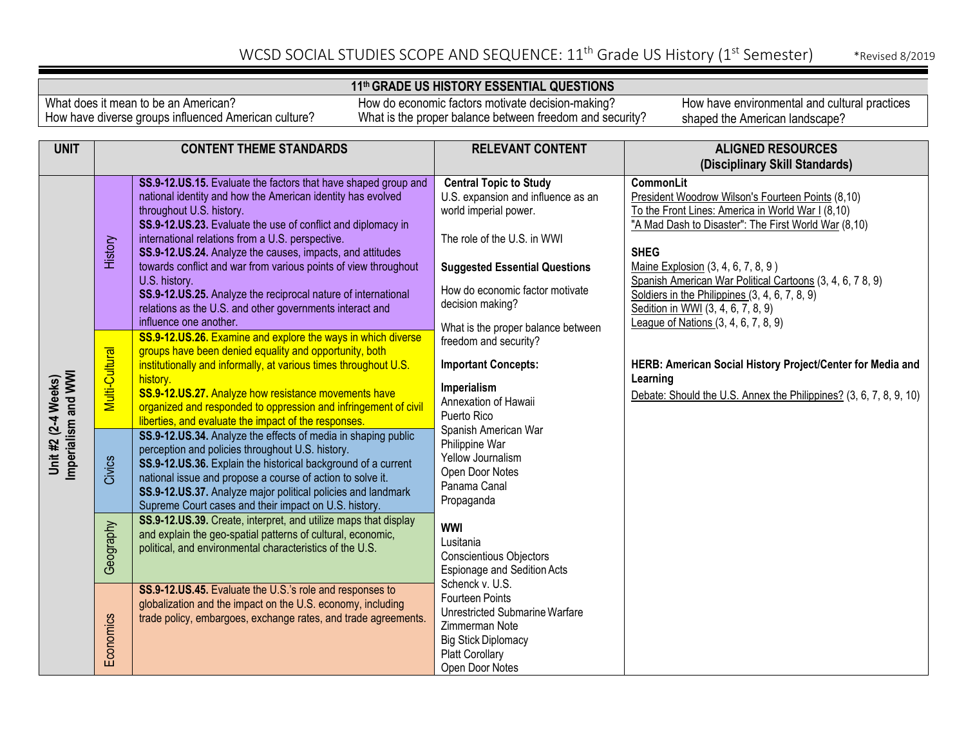### **11th GRADE US HISTORY ESSENTIAL QUESTIONS**

What does it mean to be an American? How have diverse groups influenced American culture?

How do economic factors motivate decision-making? What is the proper balance between freedom and security?

| <b>UNIT</b>                                | <b>CONTENT THEME STANDARDS</b> |                                                                                                                                                                                                                                                                                                                                                                                                                                                                                                                                                                                                                                                                                                                                                                        | <b>RELEVANT CONTENT</b>                                                                                                                                                                                                                                                                                                                                                                                                                                                                                                                      | <b>ALIGNED RESOURCES</b>                                                                                                                                                                                                                                                                                                                                                                                                      |
|--------------------------------------------|--------------------------------|------------------------------------------------------------------------------------------------------------------------------------------------------------------------------------------------------------------------------------------------------------------------------------------------------------------------------------------------------------------------------------------------------------------------------------------------------------------------------------------------------------------------------------------------------------------------------------------------------------------------------------------------------------------------------------------------------------------------------------------------------------------------|----------------------------------------------------------------------------------------------------------------------------------------------------------------------------------------------------------------------------------------------------------------------------------------------------------------------------------------------------------------------------------------------------------------------------------------------------------------------------------------------------------------------------------------------|-------------------------------------------------------------------------------------------------------------------------------------------------------------------------------------------------------------------------------------------------------------------------------------------------------------------------------------------------------------------------------------------------------------------------------|
|                                            |                                |                                                                                                                                                                                                                                                                                                                                                                                                                                                                                                                                                                                                                                                                                                                                                                        |                                                                                                                                                                                                                                                                                                                                                                                                                                                                                                                                              | (Disciplinary Skill Standards)                                                                                                                                                                                                                                                                                                                                                                                                |
|                                            | History                        | SS.9-12.US.15. Evaluate the factors that have shaped group and<br>national identity and how the American identity has evolved<br>throughout U.S. history.<br>SS.9-12.US.23. Evaluate the use of conflict and diplomacy in<br>international relations from a U.S. perspective.<br>SS.9-12.US.24. Analyze the causes, impacts, and attitudes<br>towards conflict and war from various points of view throughout<br>U.S. history.<br>SS.9-12.US.25. Analyze the reciprocal nature of international<br>relations as the U.S. and other governments interact and<br>influence one another.                                                                                                                                                                                  | <b>Central Topic to Study</b><br>U.S. expansion and influence as an<br>world imperial power.<br>The role of the U.S. in WWI<br><b>Suggested Essential Questions</b><br>How do economic factor motivate<br>decision making?                                                                                                                                                                                                                                                                                                                   | CommonLit<br>President Woodrow Wilson's Fourteen Points (8,10)<br>To the Front Lines: America in World War I (8,10)<br>"A Mad Dash to Disaster": The First World War (8,10)<br><b>SHEG</b><br>Maine Explosion (3, 4, 6, 7, 8, 9)<br>Spanish American War Political Cartoons (3, 4, 6, 7 8, 9)<br>Soldiers in the Philippines (3, 4, 6, 7, 8, 9)<br>Sedition in WWI (3, 4, 6, 7, 8, 9)<br>League of Nations (3, 4, 6, 7, 8, 9) |
| Imperialism and WWI<br>Unit #2 (2-4 Weeks) | Multi-Cultural<br>Civics       | SS.9-12.US.26. Examine and explore the ways in which diverse<br>groups have been denied equality and opportunity, both<br>institutionally and informally, at various times throughout U.S.<br>history.<br>SS.9-12.US.27. Analyze how resistance movements have<br>organized and responded to oppression and infringement of civil<br>liberties, and evaluate the impact of the responses.<br>SS.9-12.US.34. Analyze the effects of media in shaping public<br>perception and policies throughout U.S. history.<br>SS.9-12.US.36. Explain the historical background of a current<br>national issue and propose a course of action to solve it.<br>SS.9-12.US.37. Analyze major political policies and landmark<br>Supreme Court cases and their impact on U.S. history. | What is the proper balance between<br>freedom and security?<br><b>Important Concepts:</b><br>Learning<br>Imperialism<br>Annexation of Hawaii<br>Puerto Rico<br>Spanish American War<br>Philippine War<br>Yellow Journalism<br>Open Door Notes<br>Panama Canal<br>Propaganda<br><b>WWI</b><br>Lusitania<br>Conscientious Objectors<br><b>Espionage and Sedition Acts</b><br>Schenck v. U.S.<br><b>Fourteen Points</b><br>Unrestricted Submarine Warfare<br>Zimmerman Note<br><b>Big Stick Diplomacy</b><br>Platt Corollary<br>Open Door Notes | HERB: American Social History Project/Center for Media and<br>Debate: Should the U.S. Annex the Philippines? (3, 6, 7, 8, 9, 10)                                                                                                                                                                                                                                                                                              |
|                                            | Geography                      | SS.9-12.US.39. Create, interpret, and utilize maps that display<br>and explain the geo-spatial patterns of cultural, economic,<br>political, and environmental characteristics of the U.S.                                                                                                                                                                                                                                                                                                                                                                                                                                                                                                                                                                             |                                                                                                                                                                                                                                                                                                                                                                                                                                                                                                                                              |                                                                                                                                                                                                                                                                                                                                                                                                                               |
|                                            | Economics                      | SS.9-12.US.45. Evaluate the U.S.'s role and responses to<br>globalization and the impact on the U.S. economy, including<br>trade policy, embargoes, exchange rates, and trade agreements.                                                                                                                                                                                                                                                                                                                                                                                                                                                                                                                                                                              |                                                                                                                                                                                                                                                                                                                                                                                                                                                                                                                                              |                                                                                                                                                                                                                                                                                                                                                                                                                               |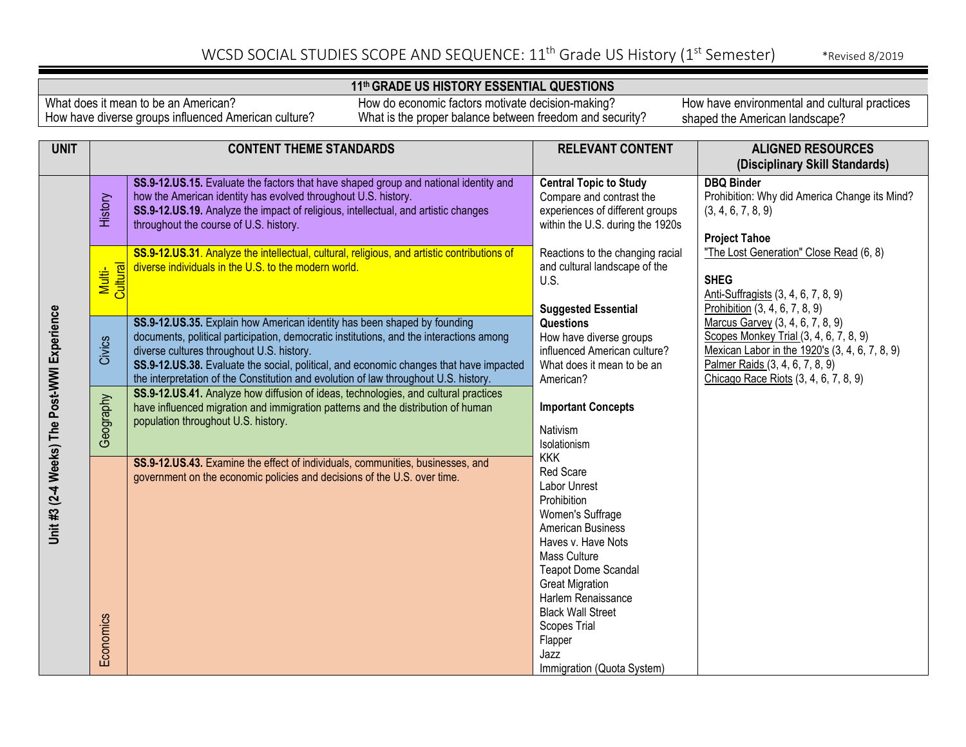### **11th GRADE US HISTORY ESSENTIAL QUESTIONS**

What does it mean to be an American? How have diverse groups influenced American culture?

How do economic factors motivate decision-making? What is the proper balance between freedom and security?

| <b>UNIT</b>                                 | <b>CONTENT THEME STANDARDS</b> |                                                                                                                                                                                                                                                                                                                                                                                                    | <b>RELEVANT CONTENT</b>                                                                                                                                                                                                                                                                                          | <b>ALIGNED RESOURCES</b>                                                                                                                                                                                 |
|---------------------------------------------|--------------------------------|----------------------------------------------------------------------------------------------------------------------------------------------------------------------------------------------------------------------------------------------------------------------------------------------------------------------------------------------------------------------------------------------------|------------------------------------------------------------------------------------------------------------------------------------------------------------------------------------------------------------------------------------------------------------------------------------------------------------------|----------------------------------------------------------------------------------------------------------------------------------------------------------------------------------------------------------|
|                                             |                                |                                                                                                                                                                                                                                                                                                                                                                                                    |                                                                                                                                                                                                                                                                                                                  | (Disciplinary Skill Standards)                                                                                                                                                                           |
|                                             | History                        | SS.9-12.US.15. Evaluate the factors that have shaped group and national identity and<br>how the American identity has evolved throughout U.S. history.<br>SS.9-12.US.19. Analyze the impact of religious, intellectual, and artistic changes<br>throughout the course of U.S. history.                                                                                                             | <b>Central Topic to Study</b><br>Compare and contrast the<br>experiences of different groups<br>within the U.S. during the 1920s                                                                                                                                                                                 | <b>DBQ Binder</b><br>Prohibition: Why did America Change its Mind?<br>(3, 4, 6, 7, 8, 9)<br><b>Project Tahoe</b>                                                                                         |
|                                             | Multi-<br>Cultural             | SS.9-12.US.31. Analyze the intellectual, cultural, religious, and artistic contributions of<br>diverse individuals in the U.S. to the modern world.                                                                                                                                                                                                                                                | Reactions to the changing racial<br>and cultural landscape of the<br>U.S.<br><b>Suggested Essential</b>                                                                                                                                                                                                          | "The Lost Generation" Close Read (6, 8)<br><b>SHEG</b><br>Anti-Suffragists (3, 4, 6, 7, 8, 9)<br>Prohibition (3, 4, 6, 7, 8, 9)                                                                          |
|                                             | Civics                         | SS.9-12.US.35. Explain how American identity has been shaped by founding<br>documents, political participation, democratic institutions, and the interactions among<br>diverse cultures throughout U.S. history.<br>SS.9-12.US.38. Evaluate the social, political, and economic changes that have impacted<br>the interpretation of the Constitution and evolution of law throughout U.S. history. | <b>Questions</b><br>How have diverse groups<br>influenced American culture?<br>What does it mean to be an<br>American?                                                                                                                                                                                           | Marcus Garvey (3, 4, 6, 7, 8, 9)<br>Scopes Monkey Trial (3, 4, 6, 7, 8, 9)<br>Mexican Labor in the 1920's (3, 4, 6, 7, 8, 9)<br>Palmer Raids (3, 4, 6, 7, 8, 9)<br>Chicago Race Riots (3, 4, 6, 7, 8, 9) |
|                                             | Geography                      | SS.9-12.US.41. Analyze how diffusion of ideas, technologies, and cultural practices<br>have influenced migration and immigration patterns and the distribution of human<br>population throughout U.S. history.                                                                                                                                                                                     | <b>Important Concepts</b><br>Nativism<br>Isolationism                                                                                                                                                                                                                                                            |                                                                                                                                                                                                          |
| Unit #3 (2-4 Weeks) The Post-WWI Experience | Economics                      | SS.9-12.US.43. Examine the effect of individuals, communities, businesses, and<br>government on the economic policies and decisions of the U.S. over time.                                                                                                                                                                                                                                         | <b>KKK</b><br>Red Scare<br>Labor Unrest<br>Prohibition<br>Women's Suffrage<br>American Business<br>Haves v. Have Nots<br>Mass Culture<br><b>Teapot Dome Scandal</b><br><b>Great Migration</b><br>Harlem Renaissance<br><b>Black Wall Street</b><br>Scopes Trial<br>Flapper<br>Jazz<br>Immigration (Quota System) |                                                                                                                                                                                                          |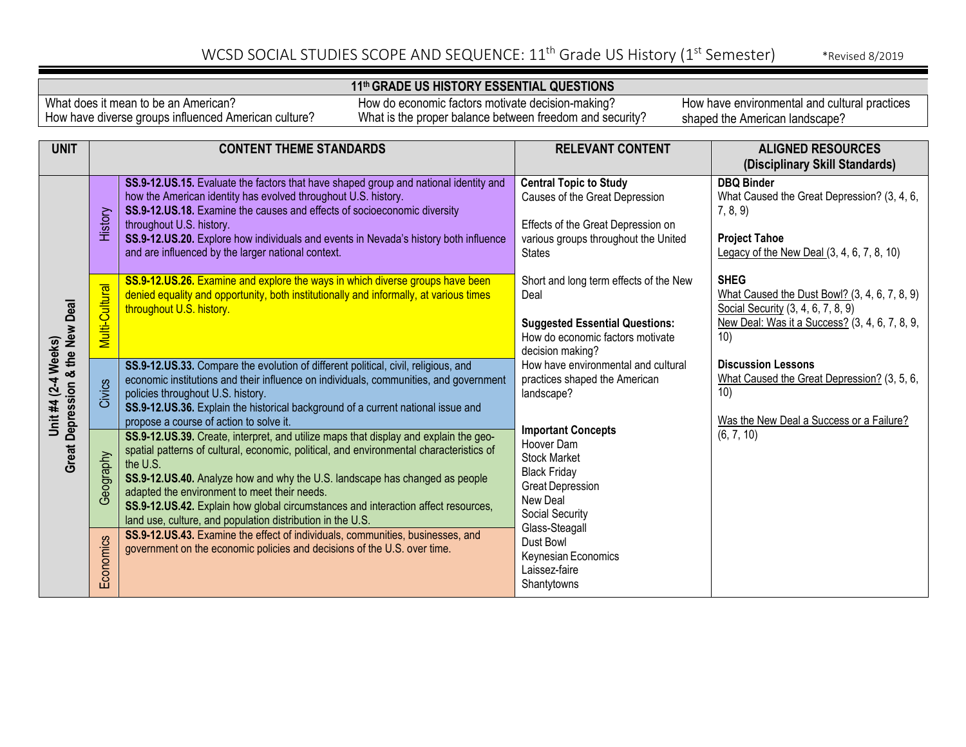### **11th GRADE US HISTORY ESSENTIAL QUESTIONS**

What does it mean to be an American? How have diverse groups influenced American culture?

How do economic factors motivate decision-making? What is the proper balance between freedom and security?

| <b>UNIT</b>                                            | <b>CONTENT THEME STANDARDS</b> |                                                                                                                                                                                                                                                                                                                                                                                                                                         | <b>RELEVANT CONTENT</b><br><b>ALIGNED RESOURCES</b>                                                                                                            |                                                                                                                                                             |
|--------------------------------------------------------|--------------------------------|-----------------------------------------------------------------------------------------------------------------------------------------------------------------------------------------------------------------------------------------------------------------------------------------------------------------------------------------------------------------------------------------------------------------------------------------|----------------------------------------------------------------------------------------------------------------------------------------------------------------|-------------------------------------------------------------------------------------------------------------------------------------------------------------|
|                                                        |                                |                                                                                                                                                                                                                                                                                                                                                                                                                                         |                                                                                                                                                                | (Disciplinary Skill Standards)                                                                                                                              |
| Great Depression & the New Deal<br>Unit #4 (2-4 Weeks) | History                        | SS.9-12.US.15. Evaluate the factors that have shaped group and national identity and<br>how the American identity has evolved throughout U.S. history.<br>SS.9-12.US.18. Examine the causes and effects of socioeconomic diversity<br>throughout U.S. history.<br>SS.9-12.US.20. Explore how individuals and events in Nevada's history both influence<br>and are influenced by the larger national context.                            | <b>Central Topic to Study</b><br>Causes of the Great Depression<br>Effects of the Great Depression on<br>various groups throughout the United<br><b>States</b> | <b>DBQ Binder</b><br>What Caused the Great Depression? (3, 4, 6,<br>7, 8, 9)<br><b>Project Tahoe</b><br>Legacy of the New Deal $(3, 4, 6, 7, 8, 10)$        |
|                                                        | Multi-Cultural                 | SS.9-12.US.26. Examine and explore the ways in which diverse groups have been<br>denied equality and opportunity, both institutionally and informally, at various times<br>throughout U.S. history.                                                                                                                                                                                                                                     | Short and long term effects of the New<br>Deal<br><b>Suggested Essential Questions:</b><br>How do economic factors motivate<br>decision making?                | <b>SHEG</b><br>What Caused the Dust Bowl? (3, 4, 6, 7, 8, 9)<br>Social Security (3, 4, 6, 7, 8, 9)<br>New Deal: Was it a Success? (3, 4, 6, 7, 8, 9,<br>10) |
|                                                        | Civics                         | SS.9-12.US.33. Compare the evolution of different political, civil, religious, and<br>economic institutions and their influence on individuals, communities, and government<br>policies throughout U.S. history.<br>SS.9-12.US.36. Explain the historical background of a current national issue and<br>propose a course of action to solve it.<br>SS.9-12.US.39. Create, interpret, and utilize maps that display and explain the geo- | How have environmental and cultural<br>practices shaped the American<br>landscape?<br><b>Important Concepts</b>                                                | <b>Discussion Lessons</b><br>What Caused the Great Depression? (3, 5, 6,<br>10)<br>Was the New Deal a Success or a Failure?<br>(6, 7, 10)                   |
|                                                        | Geography                      | spatial patterns of cultural, economic, political, and environmental characteristics of<br>the U.S.<br>SS.9-12.US.40. Analyze how and why the U.S. landscape has changed as people<br>adapted the environment to meet their needs.<br>SS.9-12.US.42. Explain how global circumstances and interaction affect resources,<br>land use, culture, and population distribution in the U.S.                                                   | Hoover Dam<br><b>Stock Market</b><br><b>Black Friday</b><br><b>Great Depression</b><br>New Deal<br>Social Security                                             |                                                                                                                                                             |
|                                                        | Economics                      | SS.9-12.US.43. Examine the effect of individuals, communities, businesses, and<br>government on the economic policies and decisions of the U.S. over time.                                                                                                                                                                                                                                                                              | Glass-Steagall<br>Dust Bowl<br>Keynesian Economics<br>Laissez-faire<br>Shantytowns                                                                             |                                                                                                                                                             |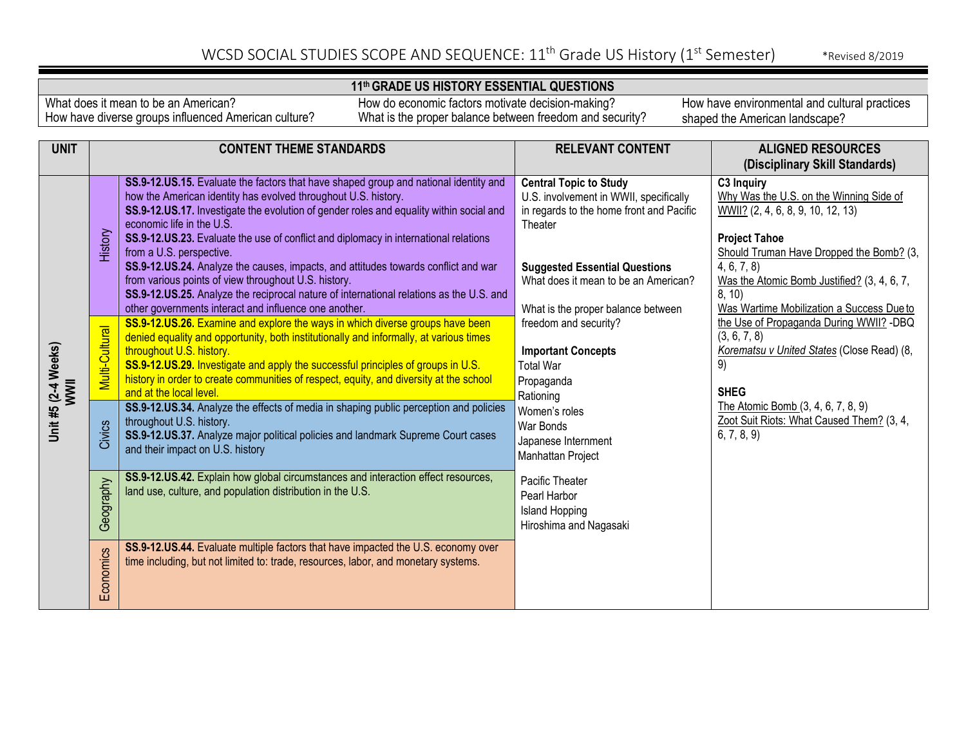### **11th GRADE US HISTORY ESSENTIAL QUESTIONS**

What does it mean to be an American? How have diverse groups influenced American culture?

How do economic factors motivate decision-making? What is the proper balance between freedom and security?

|                             | <b>UNIT</b> | <b>CONTENT THEME STANDARDS</b> |                                                                                                                                                                                                                                                                                                                                                                                                                                                                                                                                   | <b>RELEVANT CONTENT</b>                                                                                                         | <b>ALIGNED RESOURCES</b>                                                                                                                                                                                      |
|-----------------------------|-------------|--------------------------------|-----------------------------------------------------------------------------------------------------------------------------------------------------------------------------------------------------------------------------------------------------------------------------------------------------------------------------------------------------------------------------------------------------------------------------------------------------------------------------------------------------------------------------------|---------------------------------------------------------------------------------------------------------------------------------|---------------------------------------------------------------------------------------------------------------------------------------------------------------------------------------------------------------|
|                             |             |                                |                                                                                                                                                                                                                                                                                                                                                                                                                                                                                                                                   |                                                                                                                                 | (Disciplinary Skill Standards)                                                                                                                                                                                |
|                             |             |                                | SS.9-12.US.15. Evaluate the factors that have shaped group and national identity and<br>how the American identity has evolved throughout U.S. history.<br>SS.9-12.US.17. Investigate the evolution of gender roles and equality within social and<br>economic life in the U.S.                                                                                                                                                                                                                                                    | <b>Central Topic to Study</b><br>U.S. involvement in WWII, specifically<br>in regards to the home front and Pacific<br>Theater  | C3 Inquiry<br>Why Was the U.S. on the Winning Side of<br>$WWII?$ (2, 4, 6, 8, 9, 10, 12, 13)                                                                                                                  |
| Unit #5 (2-4 Weeks)<br>WWII |             | History                        | SS.9-12.US.23. Evaluate the use of conflict and diplomacy in international relations<br>from a U.S. perspective.<br>SS.9-12.US.24. Analyze the causes, impacts, and attitudes towards conflict and war<br>from various points of view throughout U.S. history.<br>SS.9-12.US.25. Analyze the reciprocal nature of international relations as the U.S. and<br>other governments interact and influence one another.                                                                                                                | <b>Suggested Essential Questions</b><br>What does it mean to be an American?<br>What is the proper balance between              | <b>Project Tahoe</b><br>Should Truman Have Dropped the Bomb? (3,<br>4, 6, 7, 8<br>Was the Atomic Bomb Justified? (3, 4, 6, 7,<br>8, 10)<br>Was Wartime Mobilization a Success Due to                          |
|                             |             | Multi-Cultural                 | SS.9-12.US.26. Examine and explore the ways in which diverse groups have been<br>denied equality and opportunity, both institutionally and informally, at various times<br>throughout U.S. history.<br>SS.9-12.US.29. Investigate and apply the successful principles of groups in U.S.<br>history in order to create communities of respect, equity, and diversity at the school<br>and at the local level.<br>SS.9-12.US.34. Analyze the effects of media in shaping public perception and policies<br>throughout U.S. history. | freedom and security?<br><b>Important Concepts</b><br><b>Total War</b><br>Propaganda<br>Rationing<br>Women's roles<br>War Bonds | the Use of Propaganda During WWII? -DBQ<br>(3, 6, 7, 8)<br>Korematsu v United States (Close Read) (8,<br>9)<br><b>SHEG</b><br>The Atomic Bomb (3, 4, 6, 7, 8, 9)<br>Zoot Suit Riots: What Caused Them? (3, 4, |
|                             |             | Civics                         | SS.9-12.US.37. Analyze major political policies and landmark Supreme Court cases<br>and their impact on U.S. history                                                                                                                                                                                                                                                                                                                                                                                                              | Japanese Internment<br>Manhattan Project                                                                                        | 6, 7, 8, 9                                                                                                                                                                                                    |
|                             |             | Geography                      | SS.9-12.US.42. Explain how global circumstances and interaction effect resources,<br>land use, culture, and population distribution in the U.S.                                                                                                                                                                                                                                                                                                                                                                                   | Pacific Theater<br>Pearl Harbor<br><b>Island Hopping</b><br>Hiroshima and Nagasaki                                              |                                                                                                                                                                                                               |
|                             |             | Economics                      | SS.9-12.US.44. Evaluate multiple factors that have impacted the U.S. economy over<br>time including, but not limited to: trade, resources, labor, and monetary systems.                                                                                                                                                                                                                                                                                                                                                           |                                                                                                                                 |                                                                                                                                                                                                               |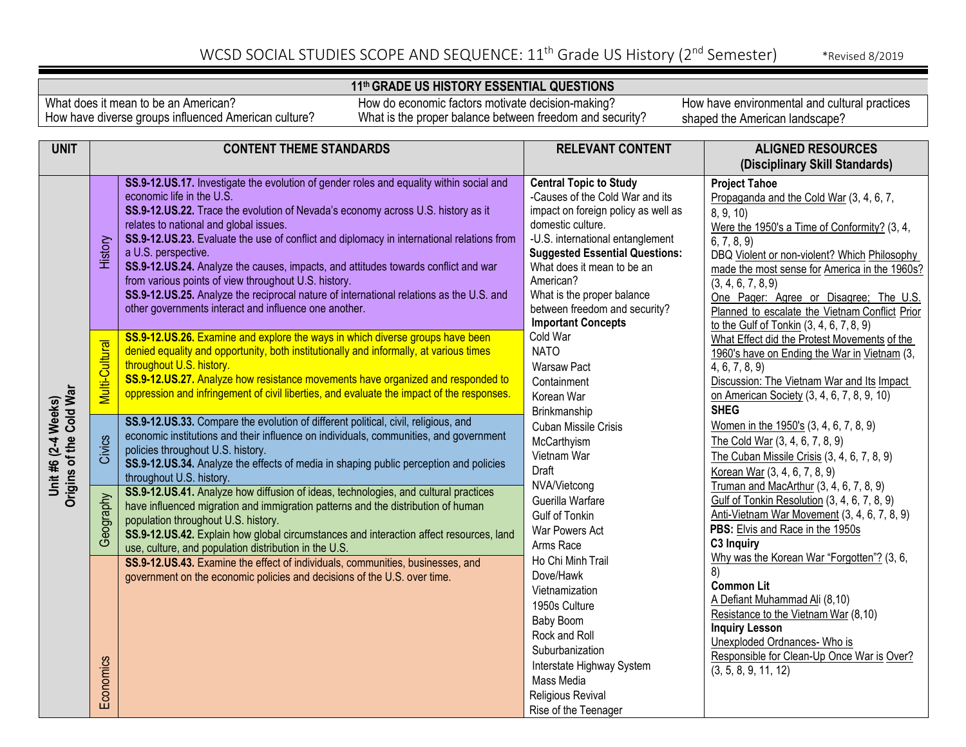#### **11th GRADE US HISTORY ESSENTIAL QUESTIONS**

What does it mean to be an American? How have diverse groups influenced American culture?

How do economic factors motivate decision-making? What is the proper balance between freedom and security?

| <b>UNIT</b>                                    | <b>CONTENT THEME STANDARDS</b> |                                                                                                                                                                         | <b>RELEVANT CONTENT</b>                                                                                                                                                                                                                                                                                                                                                                                                                                                                                                                                                                                                                                                                               | <b>ALIGNED RESOURCES</b>                                                                 |
|------------------------------------------------|--------------------------------|-------------------------------------------------------------------------------------------------------------------------------------------------------------------------|-------------------------------------------------------------------------------------------------------------------------------------------------------------------------------------------------------------------------------------------------------------------------------------------------------------------------------------------------------------------------------------------------------------------------------------------------------------------------------------------------------------------------------------------------------------------------------------------------------------------------------------------------------------------------------------------------------|------------------------------------------------------------------------------------------|
|                                                |                                |                                                                                                                                                                         |                                                                                                                                                                                                                                                                                                                                                                                                                                                                                                                                                                                                                                                                                                       | (Disciplinary Skill Standards)                                                           |
|                                                |                                | SS.9-12.US.17. Investigate the evolution of gender roles and equality within social and                                                                                 | <b>Central Topic to Study</b>                                                                                                                                                                                                                                                                                                                                                                                                                                                                                                                                                                                                                                                                         | <b>Project Tahoe</b>                                                                     |
|                                                |                                | economic life in the U.S.                                                                                                                                               |                                                                                                                                                                                                                                                                                                                                                                                                                                                                                                                                                                                                                                                                                                       | Propaganda and the Cold War (3, 4, 6, 7,                                                 |
|                                                |                                | SS.9-12.US.22. Trace the evolution of Nevada's economy across U.S. history as it                                                                                        | -Causes of the Cold War and its<br>impact on foreign policy as well as<br>domestic culture.<br>-U.S. international entanglement<br><b>Suggested Essential Questions:</b><br>What does it mean to be an<br>American?<br>What is the proper balance<br>between freedom and security?<br><b>Important Concepts</b><br>Cold War<br><b>NATO</b><br><b>Warsaw Pact</b><br>Containment<br>Korean War<br>Brinkmanship<br><b>Cuban Missile Crisis</b><br>McCarthyism<br>Vietnam War<br>Draft<br>NVA/Vietcong<br>Guerilla Warfare<br><b>Gulf of Tonkin</b><br>War Powers Act<br>Arms Race<br>Ho Chi Minh Trail<br>Dove/Hawk<br>Vietnamization<br>1950s Culture<br>Baby Boom<br>Rock and Roll<br>Suburbanization | 8, 9, 10                                                                                 |
|                                                |                                | relates to national and global issues.                                                                                                                                  |                                                                                                                                                                                                                                                                                                                                                                                                                                                                                                                                                                                                                                                                                                       | Were the 1950's a Time of Conformity? (3, 4,                                             |
|                                                |                                | SS.9-12.US.23. Evaluate the use of conflict and diplomacy in international relations from                                                                               |                                                                                                                                                                                                                                                                                                                                                                                                                                                                                                                                                                                                                                                                                                       | $\overline{6, 7, 8, 9}$                                                                  |
|                                                | History                        | a U.S. perspective.                                                                                                                                                     |                                                                                                                                                                                                                                                                                                                                                                                                                                                                                                                                                                                                                                                                                                       | DBQ Violent or non-violent? Which Philosophy                                             |
|                                                |                                | SS.9-12.US.24. Analyze the causes, impacts, and attitudes towards conflict and war                                                                                      |                                                                                                                                                                                                                                                                                                                                                                                                                                                                                                                                                                                                                                                                                                       | made the most sense for America in the 1960s?                                            |
|                                                |                                | from various points of view throughout U.S. history.                                                                                                                    |                                                                                                                                                                                                                                                                                                                                                                                                                                                                                                                                                                                                                                                                                                       | (3, 4, 6, 7, 8, 9)                                                                       |
|                                                |                                | SS.9-12.US.25. Analyze the reciprocal nature of international relations as the U.S. and<br>other governments interact and influence one another.                        |                                                                                                                                                                                                                                                                                                                                                                                                                                                                                                                                                                                                                                                                                                       | One Pager: Agree or Disagree; The U.S.                                                   |
|                                                |                                |                                                                                                                                                                         |                                                                                                                                                                                                                                                                                                                                                                                                                                                                                                                                                                                                                                                                                                       | Planned to escalate the Vietnam Conflict Prior                                           |
|                                                |                                | SS.9-12.US.26. Examine and explore the ways in which diverse groups have been                                                                                           |                                                                                                                                                                                                                                                                                                                                                                                                                                                                                                                                                                                                                                                                                                       | to the Gulf of Tonkin (3, 4, 6, 7, 8, 9)<br>What Effect did the Protest Movements of the |
|                                                | Multi-Cultural                 | denied equality and opportunity, both institutionally and informally, at various times                                                                                  |                                                                                                                                                                                                                                                                                                                                                                                                                                                                                                                                                                                                                                                                                                       | 1960's have on Ending the War in Vietnam (3,                                             |
|                                                |                                | throughout U.S. history.                                                                                                                                                |                                                                                                                                                                                                                                                                                                                                                                                                                                                                                                                                                                                                                                                                                                       | 4, 6, 7, 8, 9                                                                            |
|                                                |                                | SS.9-12.US.27. Analyze how resistance movements have organized and responded to                                                                                         |                                                                                                                                                                                                                                                                                                                                                                                                                                                                                                                                                                                                                                                                                                       | Discussion: The Vietnam War and Its Impact                                               |
|                                                |                                | oppression and infringement of civil liberties, and evaluate the impact of the responses.                                                                               |                                                                                                                                                                                                                                                                                                                                                                                                                                                                                                                                                                                                                                                                                                       | on American Society (3, 4, 6, 7, 8, 9, 10)                                               |
|                                                |                                |                                                                                                                                                                         |                                                                                                                                                                                                                                                                                                                                                                                                                                                                                                                                                                                                                                                                                                       | <b>SHEG</b>                                                                              |
|                                                |                                | SS.9-12.US.33. Compare the evolution of different political, civil, religious, and                                                                                      |                                                                                                                                                                                                                                                                                                                                                                                                                                                                                                                                                                                                                                                                                                       | Women in the 1950's (3, 4, 6, 7, 8, 9)                                                   |
|                                                |                                | economic institutions and their influence on individuals, communities, and government                                                                                   |                                                                                                                                                                                                                                                                                                                                                                                                                                                                                                                                                                                                                                                                                                       | The Cold War (3, 4, 6, 7, 8, 9)                                                          |
|                                                | Civics                         | policies throughout U.S. history.                                                                                                                                       |                                                                                                                                                                                                                                                                                                                                                                                                                                                                                                                                                                                                                                                                                                       | The Cuban Missile Crisis (3, 4, 6, 7, 8, 9)                                              |
| Unit #6 (2-4 Weeks)<br>Origins of the Cold War |                                | SS.9-12.US.34. Analyze the effects of media in shaping public perception and policies                                                                                   |                                                                                                                                                                                                                                                                                                                                                                                                                                                                                                                                                                                                                                                                                                       | Korean War (3, 4, 6, 7, 8, 9)                                                            |
|                                                |                                | throughout U.S. history.                                                                                                                                                |                                                                                                                                                                                                                                                                                                                                                                                                                                                                                                                                                                                                                                                                                                       | Truman and MacArthur (3, 4, 6, 7, 8, 9)                                                  |
|                                                |                                | SS.9-12.US.41. Analyze how diffusion of ideas, technologies, and cultural practices<br>have influenced migration and immigration patterns and the distribution of human |                                                                                                                                                                                                                                                                                                                                                                                                                                                                                                                                                                                                                                                                                                       | Gulf of Tonkin Resolution (3, 4, 6, 7, 8, 9)                                             |
|                                                | Geography                      | population throughout U.S. history.                                                                                                                                     |                                                                                                                                                                                                                                                                                                                                                                                                                                                                                                                                                                                                                                                                                                       | Anti-Vietnam War Movement (3, 4, 6, 7, 8, 9)                                             |
|                                                |                                | SS.9-12.US.42. Explain how global circumstances and interaction affect resources, land                                                                                  |                                                                                                                                                                                                                                                                                                                                                                                                                                                                                                                                                                                                                                                                                                       | PBS: Elvis and Race in the 1950s                                                         |
|                                                |                                | use, culture, and population distribution in the U.S.                                                                                                                   |                                                                                                                                                                                                                                                                                                                                                                                                                                                                                                                                                                                                                                                                                                       | C3 Inquiry                                                                               |
|                                                |                                | SS.9-12.US.43. Examine the effect of individuals, communities, businesses, and                                                                                          |                                                                                                                                                                                                                                                                                                                                                                                                                                                                                                                                                                                                                                                                                                       | Why was the Korean War "Forgotten"? (3, 6,                                               |
|                                                |                                | government on the economic policies and decisions of the U.S. over time.                                                                                                |                                                                                                                                                                                                                                                                                                                                                                                                                                                                                                                                                                                                                                                                                                       | 8)                                                                                       |
|                                                |                                |                                                                                                                                                                         |                                                                                                                                                                                                                                                                                                                                                                                                                                                                                                                                                                                                                                                                                                       | <b>Common Lit</b>                                                                        |
|                                                |                                |                                                                                                                                                                         |                                                                                                                                                                                                                                                                                                                                                                                                                                                                                                                                                                                                                                                                                                       | A Defiant Muhammad Ali (8,10)                                                            |
|                                                |                                |                                                                                                                                                                         |                                                                                                                                                                                                                                                                                                                                                                                                                                                                                                                                                                                                                                                                                                       | Resistance to the Vietnam War (8,10)                                                     |
|                                                |                                |                                                                                                                                                                         |                                                                                                                                                                                                                                                                                                                                                                                                                                                                                                                                                                                                                                                                                                       | <b>Inquiry Lesson</b><br>Unexploded Ordnances- Who is                                    |
|                                                |                                |                                                                                                                                                                         |                                                                                                                                                                                                                                                                                                                                                                                                                                                                                                                                                                                                                                                                                                       | Responsible for Clean-Up Once War is Over?                                               |
|                                                |                                |                                                                                                                                                                         | Interstate Highway System                                                                                                                                                                                                                                                                                                                                                                                                                                                                                                                                                                                                                                                                             | (3, 5, 8, 9, 11, 12)                                                                     |
|                                                |                                |                                                                                                                                                                         | Mass Media                                                                                                                                                                                                                                                                                                                                                                                                                                                                                                                                                                                                                                                                                            |                                                                                          |
|                                                | Economics                      |                                                                                                                                                                         | Religious Revival                                                                                                                                                                                                                                                                                                                                                                                                                                                                                                                                                                                                                                                                                     |                                                                                          |
|                                                |                                |                                                                                                                                                                         | Rise of the Teenager                                                                                                                                                                                                                                                                                                                                                                                                                                                                                                                                                                                                                                                                                  |                                                                                          |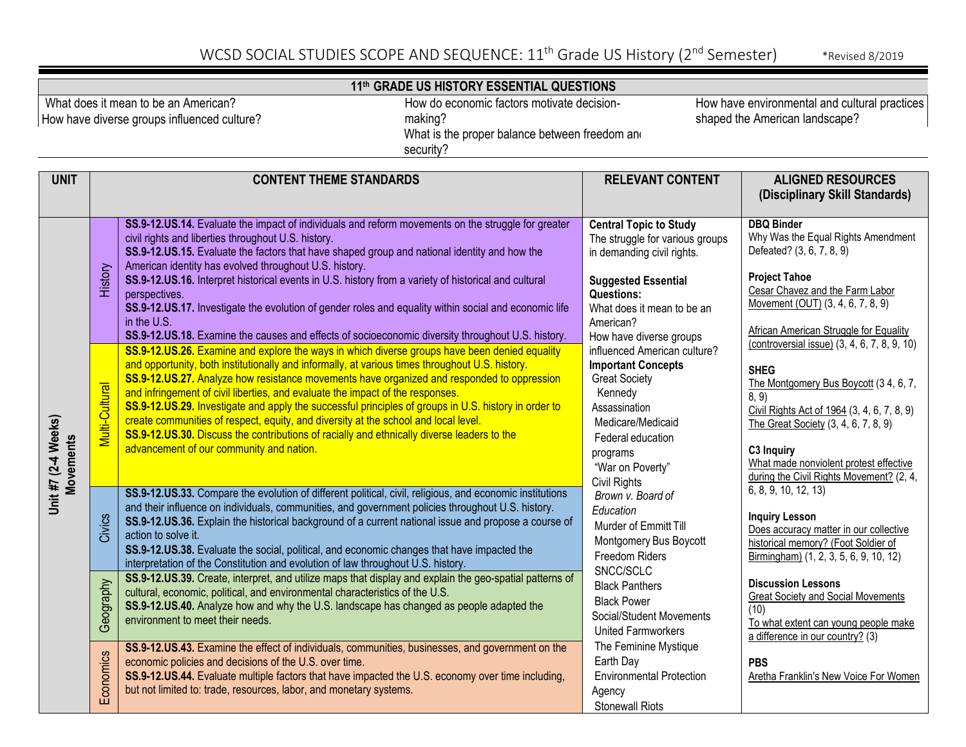|                                                                                                                                                                                                             | 11th GRADE US HISTORY ESSENTIAL QUESTIONS                                            |                                                                                                                                                                                                                                                                                                                                                                                                                                                                                                                                                                                                                                                                                                                                                                                                                                                                                                                                                                                                                                                                                                                                                                                                                                                                                                                                                                                                        |                                                                                                                                                                                                                                                                                                                                                                                                                                    |                                                                                                                                                                                                                                                                                                                                                                                                                                                                                                                                                   |  |
|-------------------------------------------------------------------------------------------------------------------------------------------------------------------------------------------------------------|--------------------------------------------------------------------------------------|--------------------------------------------------------------------------------------------------------------------------------------------------------------------------------------------------------------------------------------------------------------------------------------------------------------------------------------------------------------------------------------------------------------------------------------------------------------------------------------------------------------------------------------------------------------------------------------------------------------------------------------------------------------------------------------------------------------------------------------------------------------------------------------------------------------------------------------------------------------------------------------------------------------------------------------------------------------------------------------------------------------------------------------------------------------------------------------------------------------------------------------------------------------------------------------------------------------------------------------------------------------------------------------------------------------------------------------------------------------------------------------------------------|------------------------------------------------------------------------------------------------------------------------------------------------------------------------------------------------------------------------------------------------------------------------------------------------------------------------------------------------------------------------------------------------------------------------------------|---------------------------------------------------------------------------------------------------------------------------------------------------------------------------------------------------------------------------------------------------------------------------------------------------------------------------------------------------------------------------------------------------------------------------------------------------------------------------------------------------------------------------------------------------|--|
| What does it mean to be an American?<br>How do economic factors motivate decision-<br>making?<br>How have diverse groups influenced culture?<br>What is the proper balance between freedom and<br>security? |                                                                                      |                                                                                                                                                                                                                                                                                                                                                                                                                                                                                                                                                                                                                                                                                                                                                                                                                                                                                                                                                                                                                                                                                                                                                                                                                                                                                                                                                                                                        | How have environmental and cultural practices<br>shaped the American landscape?                                                                                                                                                                                                                                                                                                                                                    |                                                                                                                                                                                                                                                                                                                                                                                                                                                                                                                                                   |  |
| <b>UNIT</b>                                                                                                                                                                                                 |                                                                                      | <b>CONTENT THEME STANDARDS</b>                                                                                                                                                                                                                                                                                                                                                                                                                                                                                                                                                                                                                                                                                                                                                                                                                                                                                                                                                                                                                                                                                                                                                                                                                                                                                                                                                                         | <b>RELEVANT CONTENT</b>                                                                                                                                                                                                                                                                                                                                                                                                            | <b>ALIGNED RESOURCES</b><br>(Disciplinary Skill Standards)                                                                                                                                                                                                                                                                                                                                                                                                                                                                                        |  |
| Unit #7 (2-4 Weeks)<br><b>Movements</b>                                                                                                                                                                     | History<br>Multi-Cultural                                                            | SS.9-12.US.14. Evaluate the impact of individuals and reform movements on the struggle for greater<br>civil rights and liberties throughout U.S. history.<br>SS.9-12.US.15. Evaluate the factors that have shaped group and national identity and how the<br>American identity has evolved throughout U.S. history.<br>SS.9-12.US.16. Interpret historical events in U.S. history from a variety of historical and cultural<br>perspectives.<br>SS.9-12.US.17. Investigate the evolution of gender roles and equality within social and economic life<br>in the U.S.<br>SS.9-12.US.18. Examine the causes and effects of socioeconomic diversity throughout U.S. history.<br>SS.9-12.US.26. Examine and explore the ways in which diverse groups have been denied equality<br>and opportunity, both institutionally and informally, at various times throughout U.S. history.<br>SS.9-12.US.27. Analyze how resistance movements have organized and responded to oppression<br>and infringement of civil liberties, and evaluate the impact of the responses.<br>SS.9-12.US.29. Investigate and apply the successful principles of groups in U.S. history in order to<br>create communities of respect, equity, and diversity at the school and local level.<br>SS.9-12.US.30. Discuss the contributions of racially and ethnically diverse leaders to the<br>advancement of our community and nation. | <b>Central Topic to Study</b><br>The struggle for various groups<br>in demanding civil rights.<br><b>Suggested Essential</b><br><b>Questions:</b><br>What does it mean to be an<br>American?<br>How have diverse groups<br>influenced American culture?<br><b>Important Concepts</b><br><b>Great Society</b><br>Kennedy<br>Assassination<br>Medicare/Medicaid<br>Federal education<br>programs<br>"War on Poverty"<br>Civil Rights | <b>DBQ Binder</b><br>Why Was the Equal Rights Amendment<br>Defeated? (3, 6, 7, 8, 9)<br><b>Project Tahoe</b><br>Cesar Chavez and the Farm Labor<br>Movement (OUT) (3, 4, 6, 7, 8, 9)<br><b>African American Struggle for Equality</b><br>(controversial issue) (3, 4, 6, 7, 8, 9, 10)<br><b>SHEG</b><br>The Montgomery Bus Boycott (34, 6, 7,<br>8, 9)<br>Civil Rights Act of 1964 (3, 4, 6, 7, 8, 9)<br>The Great Society (3, 4, 6, 7, 8, 9)<br>C3 Inquiry<br>What made nonviolent protest effective<br>during the Civil Rights Movement? (2, 4, |  |
|                                                                                                                                                                                                             | Civics<br>action to solve it.<br><b>Aude.noo</b><br>environment to meet their needs. | SS.9-12.US.33. Compare the evolution of different political, civil, religious, and economic institutions<br>and their influence on individuals, communities, and government policies throughout U.S. history.<br>SS.9-12.US.36. Explain the historical background of a current national issue and propose a course of<br>SS.9-12.US.38. Evaluate the social, political, and economic changes that have impacted the<br>interpretation of the Constitution and evolution of law throughout U.S. history.<br>SS.9-12.US.39. Create, interpret, and utilize maps that display and explain the geo-spatial patterns of<br>cultural, economic, political, and environmental characteristics of the U.S.<br>SS.9-12.US.40. Analyze how and why the U.S. landscape has changed as people adapted the                                                                                                                                                                                                                                                                                                                                                                                                                                                                                                                                                                                                          | Brown v. Board of<br>Education<br>Murder of Emmitt Till<br>Montgomery Bus Boycott<br>Freedom Riders<br>SNCC/SCLC<br><b>Black Panthers</b><br><b>Black Power</b><br>Social/Student Movements                                                                                                                                                                                                                                        | 6, 8, 9, 10, 12, 13)<br><b>Inquiry Lesson</b><br>Does accuracy matter in our collective<br>historical memory? (Foot Soldier of<br>Birmingham) (1, 2, 3, 5, 6, 9, 10, 12)<br><b>Discussion Lessons</b><br><b>Great Society and Social Movements</b><br>(10)<br>To what extent can young people make                                                                                                                                                                                                                                                |  |
|                                                                                                                                                                                                             | ජී<br>Economics                                                                      | SS.9-12.US.43. Examine the effect of individuals, communities, businesses, and government on the<br>economic policies and decisions of the U.S. over time.<br>SS.9-12.US.44. Evaluate multiple factors that have impacted the U.S. economy over time including,<br>but not limited to: trade, resources, labor, and monetary systems.                                                                                                                                                                                                                                                                                                                                                                                                                                                                                                                                                                                                                                                                                                                                                                                                                                                                                                                                                                                                                                                                  | United Farmworkers<br>The Feminine Mystique<br>Earth Day<br><b>Environmental Protection</b><br>Agency<br><b>Stonewall Riots</b>                                                                                                                                                                                                                                                                                                    | a difference in our country? (3)<br><b>PBS</b><br>Aretha Franklin's New Voice For Women                                                                                                                                                                                                                                                                                                                                                                                                                                                           |  |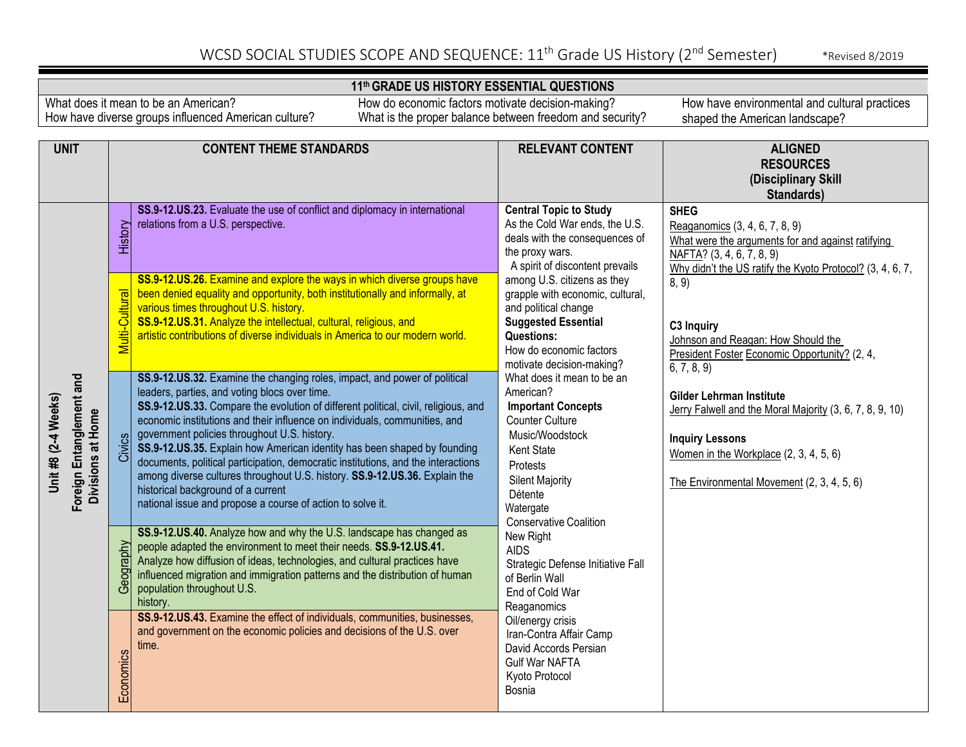### **11th GRADE US HISTORY ESSENTIAL QUESTIONS**

What does it mean to be an American? How have diverse groups influenced American culture?

How do economic factors motivate decision-making? What is the proper balance between freedom and security?

| <b>UNIT</b>                                                          | <b>CONTENT THEME STANDARDS</b> |                                                                                                                                                                                                                                                                                                                                                                                                                                                                                                                                                                                                                                                                                                   | <b>RELEVANT CONTENT</b>                                                                                                                                                                                                                                                                                                                                                                                                                                                                                                                                   | <b>ALIGNED</b>                                                                                                                                                                                                                                                                                                                     |
|----------------------------------------------------------------------|--------------------------------|---------------------------------------------------------------------------------------------------------------------------------------------------------------------------------------------------------------------------------------------------------------------------------------------------------------------------------------------------------------------------------------------------------------------------------------------------------------------------------------------------------------------------------------------------------------------------------------------------------------------------------------------------------------------------------------------------|-----------------------------------------------------------------------------------------------------------------------------------------------------------------------------------------------------------------------------------------------------------------------------------------------------------------------------------------------------------------------------------------------------------------------------------------------------------------------------------------------------------------------------------------------------------|------------------------------------------------------------------------------------------------------------------------------------------------------------------------------------------------------------------------------------------------------------------------------------------------------------------------------------|
|                                                                      |                                |                                                                                                                                                                                                                                                                                                                                                                                                                                                                                                                                                                                                                                                                                                   |                                                                                                                                                                                                                                                                                                                                                                                                                                                                                                                                                           | <b>RESOURCES</b><br>(Disciplinary Skill<br>Standards)                                                                                                                                                                                                                                                                              |
| Foreign Entanglement and<br>Unit #8 (2-4 Weeks)<br>Divisions at Home | History                        | SS.9-12.US.23. Evaluate the use of conflict and diplomacy in international<br>relations from a U.S. perspective.                                                                                                                                                                                                                                                                                                                                                                                                                                                                                                                                                                                  | <b>Central Topic to Study</b><br>As the Cold War ends, the U.S.<br>deals with the consequences of<br>the proxy wars.<br>A spirit of discontent prevails                                                                                                                                                                                                                                                                                                                                                                                                   | <b>SHEG</b><br>Reaganomics (3, 4, 6, 7, 8, 9)<br>What were the arguments for and against ratifying<br>NAFTA? (3, 4, 6, 7, 8, 9)<br>Why didn't the US ratify the Kyoto Protocol? (3, 4, 6, 7,                                                                                                                                       |
|                                                                      | Multi-Cultural                 | SS.9-12.US.26. Examine and explore the ways in which diverse groups have<br>been denied equality and opportunity, both institutionally and informally, at<br>various times throughout U.S. history.<br>SS.9-12.US.31. Analyze the intellectual, cultural, religious, and<br>artistic contributions of diverse individuals in America to our modern world.                                                                                                                                                                                                                                                                                                                                         | among U.S. citizens as they<br>grapple with economic, cultural,<br>and political change<br><b>Suggested Essential</b><br><b>Questions:</b><br>How do economic factors<br>motivate decision-making?<br>What does it mean to be an<br>American?<br><b>Important Concepts</b><br><b>Counter Culture</b><br>Music/Woodstock<br><b>Kent State</b><br>Protests<br><b>Silent Majority</b><br>Détente<br>Watergate<br>Conservative Coalition<br>New Right<br><b>AIDS</b><br>Strategic Defense Initiative Fall<br>of Berlin Wall<br>End of Cold War<br>Reaganomics | 8, 9)<br>C3 Inquiry<br>Johnson and Reagan: How Should the<br>President Foster Economic Opportunity? (2, 4,<br>6, 7, 8, 9<br>Gilder Lehrman Institute<br>Jerry Falwell and the Moral Majority (3, 6, 7, 8, 9, 10)<br><b>Inquiry Lessons</b><br>Women in the Workplace (2, 3, 4, 5, 6)<br>The Environmental Movement (2, 3, 4, 5, 6) |
|                                                                      | Civics                         | SS.9-12.US.32. Examine the changing roles, impact, and power of political<br>leaders, parties, and voting blocs over time.<br>SS.9-12.US.33. Compare the evolution of different political, civil, religious, and<br>economic institutions and their influence on individuals, communities, and<br>government policies throughout U.S. history.<br>SS.9-12.US.35. Explain how American identity has been shaped by founding<br>documents, political participation, democratic institutions, and the interactions<br>among diverse cultures throughout U.S. history. SS.9-12.US.36. Explain the<br>historical background of a current<br>national issue and propose a course of action to solve it. |                                                                                                                                                                                                                                                                                                                                                                                                                                                                                                                                                           |                                                                                                                                                                                                                                                                                                                                    |
|                                                                      | Geography                      | SS.9-12.US.40. Analyze how and why the U.S. landscape has changed as<br>people adapted the environment to meet their needs. SS.9-12.US.41.<br>Analyze how diffusion of ideas, technologies, and cultural practices have<br>influenced migration and immigration patterns and the distribution of human<br>population throughout U.S.<br>history.                                                                                                                                                                                                                                                                                                                                                  |                                                                                                                                                                                                                                                                                                                                                                                                                                                                                                                                                           |                                                                                                                                                                                                                                                                                                                                    |
|                                                                      | Economics                      | SS.9-12.US.43. Examine the effect of individuals, communities, businesses,<br>and government on the economic policies and decisions of the U.S. over<br>time.                                                                                                                                                                                                                                                                                                                                                                                                                                                                                                                                     | Oil/energy crisis<br>Iran-Contra Affair Camp<br>David Accords Persian<br><b>Gulf War NAFTA</b><br>Kyoto Protocol<br>Bosnia                                                                                                                                                                                                                                                                                                                                                                                                                                |                                                                                                                                                                                                                                                                                                                                    |